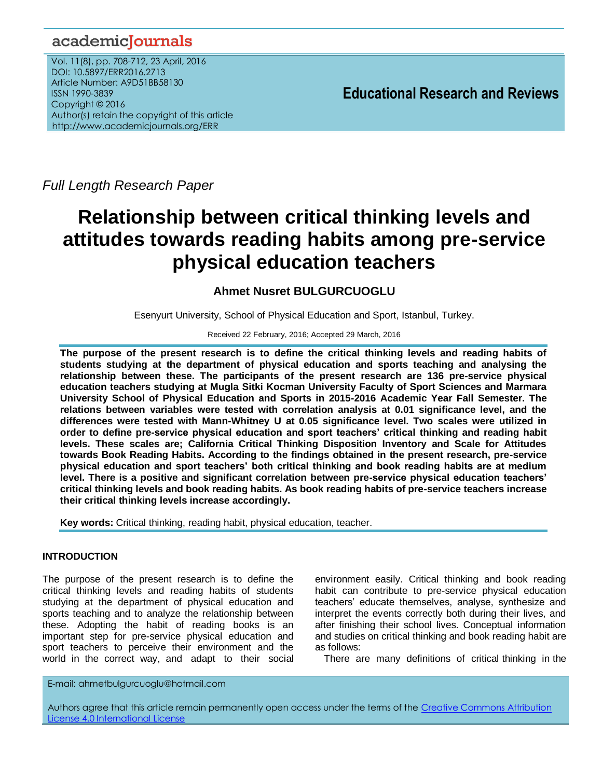## academicJournals

Vol. 11(8), pp. 708-712, 23 April, 2016 DOI: 10.5897/ERR2016.2713 Article Number: A9D51BB58130 ISSN 1990-3839 Copyright © 2016 Author(s) retain the copyright of this article http://www.academicjournals.org/ERR

**Educational Research and Reviews**

*Full Length Research Paper*

# **Relationship between critical thinking levels and attitudes towards reading habits among pre-service physical education teachers**

## **Ahmet Nusret BULGURCUOGLU**

Esenyurt University, School of Physical Education and Sport, Istanbul, Turkey.

#### Received 22 February, 2016; Accepted 29 March, 2016

**The purpose of the present research is to define the critical thinking levels and reading habits of students studying at the department of physical education and sports teaching and analysing the relationship between these. The participants of the present research are 136 pre-service physical education teachers studying at Mugla Sitki Kocman University Faculty of Sport Sciences and Marmara University School of Physical Education and Sports in 2015-2016 Academic Year Fall Semester. The relations between variables were tested with correlation analysis at 0.01 significance level, and the differences were tested with Mann-Whitney U at 0.05 significance level. Two scales were utilized in order to define pre-service physical education and sport teachers' critical thinking and reading habit levels. These scales are; California Critical Thinking Disposition Inventory and Scale for Attitudes towards Book Reading Habits. According to the findings obtained in the present research, pre-service physical education and sport teachers' both critical thinking and book reading habits are at medium level. There is a positive and significant correlation between pre-service physical education teachers' critical thinking levels and book reading habits. As book reading habits of pre-service teachers increase their critical thinking levels increase accordingly.**

**Key words:** Critical thinking, reading habit, physical education, teacher.

### **INTRODUCTION**

The purpose of the present research is to define the critical thinking levels and reading habits of students studying at the department of physical education and sports teaching and to analyze the relationship between these. Adopting the habit of reading books is an important step for pre-service physical education and sport teachers to perceive their environment and the world in the correct way, and adapt to their social

environment easily. Critical thinking and book reading habit can contribute to pre-service physical education teachers' educate themselves, analyse, synthesize and interpret the events correctly both during their lives, and after finishing their school lives. Conceptual information and studies on critical thinking and book reading habit are as follows:

There are many definitions of critical thinking in the

E-mail: ahmetbulgurcuoglu@hotmail.com

Authors agree that this article remain permanently open access under the terms of the Creative Commons Attribution [License 4.0 International License](file://192.168.1.24/reading/Arts%20and%20Education/ERR/2014/sept/read/Correction%20Pdf%201/ERR-17.04.14-1816/Publication/Creative%20Co)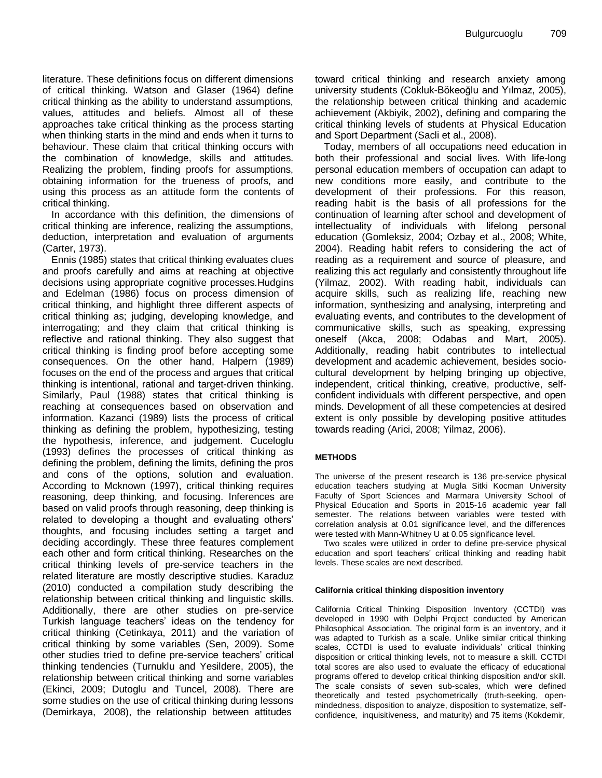literature. These definitions focus on different dimensions of critical thinking. Watson and Glaser (1964) define critical thinking as the ability to understand assumptions, values, attitudes and beliefs. Almost all of these approaches take critical thinking as the process starting when thinking starts in the mind and ends when it turns to behaviour. These claim that critical thinking occurs with the combination of knowledge, skills and attitudes. Realizing the problem, finding proofs for assumptions, obtaining information for the trueness of proofs, and using this process as an attitude form the contents of critical thinking.

In accordance with this definition, the dimensions of critical thinking are inference, realizing the assumptions, deduction, interpretation and evaluation of arguments (Carter, 1973).

Ennis (1985) states that critical thinking evaluates clues and proofs carefully and aims at reaching at objective decisions using appropriate cognitive processes.Hudgins and Edelman (1986) focus on process dimension of critical thinking, and highlight three different aspects of critical thinking as; judging, developing knowledge, and interrogating; and they claim that critical thinking is reflective and rational thinking. They also suggest that critical thinking is finding proof before accepting some consequences. On the other hand, Halpern (1989) focuses on the end of the process and argues that critical thinking is intentional, rational and target-driven thinking. Similarly, Paul (1988) states that critical thinking is reaching at consequences based on observation and information. Kazanci (1989) lists the process of critical thinking as defining the problem, hypothesizing, testing the hypothesis, inference, and judgement. Cuceloglu (1993) defines the processes of critical thinking as defining the problem, defining the limits, defining the pros and cons of the options, solution and evaluation. According to Mcknown (1997), critical thinking requires reasoning, deep thinking, and focusing. Inferences are based on valid proofs through reasoning, deep thinking is related to developing a thought and evaluating others' thoughts, and focusing includes setting a target and deciding accordingly. These three features complement each other and form critical thinking. Researches on the critical thinking levels of pre-service teachers in the related literature are mostly descriptive studies. Karaduz (2010) conducted a compilation study describing the relationship between critical thinking and linguistic skills. Additionally, there are other studies on pre-service Turkish language teachers' ideas on the tendency for critical thinking (Cetinkaya, 2011) and the variation of critical thinking by some variables (Sen, 2009). Some other studies tried to define pre-service teachers' critical thinking tendencies (Turnuklu and Yesildere, 2005), the relationship between critical thinking and some variables (Ekinci, 2009; Dutoglu and Tuncel, 2008). There are some studies on the use of critical thinking during lessons (Demirkaya, 2008), the relationship between attitudes

toward critical thinking and research anxiety among university students (Cokluk-Bökeoğlu and Yılmaz, 2005), the relationship between critical thinking and academic achievement (Akbiyik, 2002), defining and comparing the critical thinking levels of students at Physical Education and Sport Department (Sacli et al., 2008).

Today, members of all occupations need education in both their professional and social lives. With life-long personal education members of occupation can adapt to new conditions more easily, and contribute to the development of their professions. For this reason, reading habit is the basis of all professions for the continuation of learning after school and development of intellectuality of individuals with lifelong personal education (Gomleksiz, 2004; Ozbay et al., 2008; White, 2004). Reading habit refers to considering the act of reading as a requirement and source of pleasure, and realizing this act regularly and consistently throughout life (Yilmaz, 2002). With reading habit, individuals can acquire skills, such as realizing life, reaching new information, synthesizing and analysing, interpreting and evaluating events, and contributes to the development of communicative skills, such as speaking, expressing oneself (Akca, 2008; Odabas and Mart, 2005). Additionally, reading habit contributes to intellectual development and academic achievement, besides sociocultural development by helping bringing up objective, independent, critical thinking, creative, productive, selfconfident individuals with different perspective, and open minds. Development of all these competencies at desired extent is only possible by developing positive attitudes towards reading (Arici, 2008; Yilmaz, 2006).

#### **METHODS**

The universe of the present research is 136 pre-service physical education teachers studying at Mugla Sitki Kocman University Faculty of Sport Sciences and Marmara University School of Physical Education and Sports in 2015-16 academic year fall semester. The relations between variables were tested with correlation analysis at 0.01 significance level, and the differences were tested with Mann-Whitney U at 0.05 significance level.

Two scales were utilized in order to define pre-service physical education and sport teachers' critical thinking and reading habit levels. These scales are next described.

#### **California critical thinking disposition inventory**

California Critical Thinking Disposition Inventory (CCTDI) was developed in 1990 with Delphi Project conducted by American Philosophical Association. The original form is an inventory, and it was adapted to Turkish as a scale. Unlike similar critical thinking scales, CCTDI is used to evaluate individuals' critical thinking disposition or critical thinking levels, not to measure a skill. CCTDI total scores are also used to evaluate the efficacy of educational programs offered to develop critical thinking disposition and/or skill. The scale consists of seven sub-scales, which were defined theoretically and tested psychometrically (truth-seeking, openmindedness, disposition to analyze, disposition to systematize, selfconfidence, inquisitiveness, and maturity) and 75 items (Kokdemir,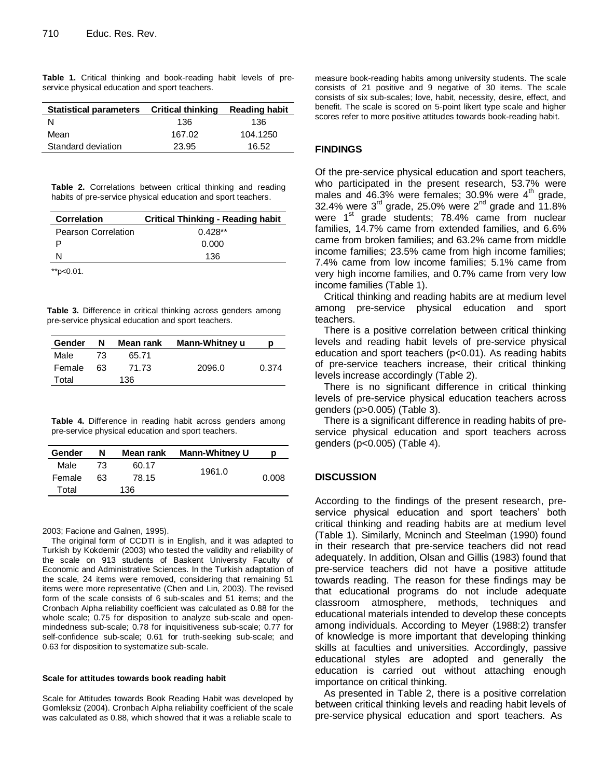|  |  | Table 1. Critical thinking and book-reading habit levels of pre- |  |  |
|--|--|------------------------------------------------------------------|--|--|
|  |  | service physical education and sport teachers.                   |  |  |

| Statistical parameters Critical thinking |        | <b>Reading habit</b> |
|------------------------------------------|--------|----------------------|
| N                                        | 136    | 136                  |
| Mean                                     | 167.02 | 104.1250             |
| Standard deviation                       | 23.95  | 16.52                |
|                                          |        |                      |

**Table 2.** Correlations between critical thinking and reading habits of pre-service physical education and sport teachers.

| <b>Correlation</b>  | Critical Thinking - Reading habit |
|---------------------|-----------------------------------|
| Pearson Correlation | $0.428**$                         |
|                     | 0.000                             |
| N                   | 136                               |
|                     |                                   |

\*\*p<0.01.

**Table 3.** Difference in critical thinking across genders among pre-service physical education and sport teachers.

| Gender | N  | Mean rank | Mann-Whitney u | p     |
|--------|----|-----------|----------------|-------|
| Male   | 73 | 65.71     |                |       |
| Female | 63 | 71.73     | 2096.0         | 0.374 |
| Total  |    | 136       |                |       |

**Table 4.** Difference in reading habit across genders among pre-service physical education and sport teachers.

| Gender | N  | Mean rank | <b>Mann-Whitney U</b> | р     |
|--------|----|-----------|-----------------------|-------|
| Male   | 73 | 60.17     | 1961.0                |       |
| Female | 63 | 78.15     |                       | 0.008 |
| Total  |    | 136       |                       |       |

2003; Facione and Galnen, 1995).

The original form of CCDTI is in English, and it was adapted to Turkish by Kokdemir (2003) who tested the validity and reliability of the scale on 913 students of Baskent University Faculty of Economic and Administrative Sciences. In the Turkish adaptation of the scale, 24 items were removed, considering that remaining 51 items were more representative (Chen and Lin, 2003). The revised form of the scale consists of 6 sub-scales and 51 items; and the Cronbach Alpha reliability coefficient was calculated as 0.88 for the whole scale; 0.75 for disposition to analyze sub-scale and openmindedness sub-scale; 0.78 for inquisitiveness sub-scale; 0.77 for self-confidence sub-scale; 0.61 for truth-seeking sub-scale; and 0.63 for disposition to systematize sub-scale.

#### **Scale for attitudes towards book reading habit**

Scale for Attitudes towards Book Reading Habit was developed by Gomleksiz (2004). Cronbach Alpha reliability coefficient of the scale was calculated as 0.88, which showed that it was a reliable scale to

measure book-reading habits among university students. The scale consists of 21 positive and 9 negative of 30 items. The scale consists of six sub-scales; love, habit, necessity, desire, effect, and benefit. The scale is scored on 5-point likert type scale and higher scores refer to more positive attitudes towards book-reading habit.

#### **FINDINGS**

Of the pre-service physical education and sport teachers, who participated in the present research, 53.7% were males and 46.3% were females; 30.9% were  $4<sup>th</sup>$  grade, 32.4% were  $3<sup>rd</sup>$  grade, 25.0% were  $2<sup>nd</sup>$  grade and  $11.8%$ were  $1<sup>st</sup>$  grade students; 78.4% came from nuclear families, 14.7% came from extended families, and 6.6% came from broken families; and 63.2% came from middle income families; 23.5% came from high income families; 7.4% came from low income families; 5.1% came from very high income families, and 0.7% came from very low income families (Table 1).

Critical thinking and reading habits are at medium level among pre-service physical education and sport teachers.

There is a positive correlation between critical thinking levels and reading habit levels of pre-service physical education and sport teachers (p<0.01). As reading habits of pre-service teachers increase, their critical thinking levels increase accordingly (Table 2).

There is no significant difference in critical thinking levels of pre-service physical education teachers across genders (p>0.005) (Table 3).

There is a significant difference in reading habits of preservice physical education and sport teachers across genders (p<0.005) (Table 4).

#### **DISCUSSION**

According to the findings of the present research, preservice physical education and sport teachers' both critical thinking and reading habits are at medium level (Table 1). Similarly, Mcninch and Steelman (1990) found in their research that pre-service teachers did not read adequately. In addition, Olsan and Gillis (1983) found that pre-service teachers did not have a positive attitude towards reading. The reason for these findings may be that educational programs do not include adequate classroom atmosphere, methods, techniques and educational materials intended to develop these concepts among individuals. According to Meyer (1988:2) transfer of knowledge is more important that developing thinking skills at faculties and universities. Accordingly, passive educational styles are adopted and generally the education is carried out without attaching enough importance on critical thinking.

As presented in Table 2, there is a positive correlation between critical thinking levels and reading habit levels of pre-service physical education and sport teachers. As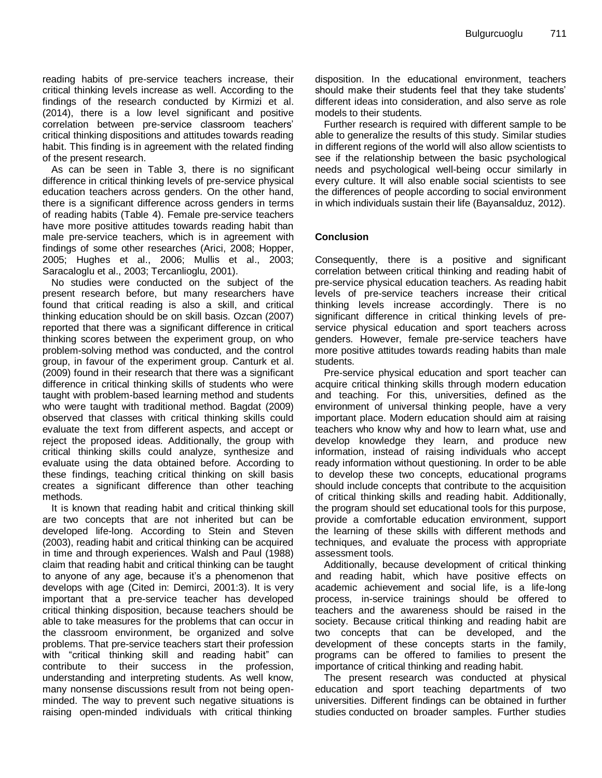reading habits of pre-service teachers increase, their critical thinking levels increase as well. According to the findings of the research conducted by Kirmizi et al. (2014), there is a low level significant and positive correlation between pre-service classroom teachers' critical thinking dispositions and attitudes towards reading habit. This finding is in agreement with the related finding of the present research.

As can be seen in Table 3, there is no significant difference in critical thinking levels of pre-service physical education teachers across genders. On the other hand, there is a significant difference across genders in terms of reading habits (Table 4). Female pre-service teachers have more positive attitudes towards reading habit than male pre-service teachers, which is in agreement with findings of some other researches (Arici, 2008; Hopper, 2005; Hughes et al., 2006; Mullis et al., 2003; Saracaloglu et al., 2003; Tercanlioglu, 2001).

No studies were conducted on the subject of the present research before, but many researchers have found that critical reading is also a skill, and critical thinking education should be on skill basis. Ozcan (2007) reported that there was a significant difference in critical thinking scores between the experiment group, on who problem-solving method was conducted, and the control group, in favour of the experiment group. Canturk et al. (2009) found in their research that there was a significant difference in critical thinking skills of students who were taught with problem-based learning method and students who were taught with traditional method. Bagdat (2009) observed that classes with critical thinking skills could evaluate the text from different aspects, and accept or reject the proposed ideas. Additionally, the group with critical thinking skills could analyze, synthesize and evaluate using the data obtained before. According to these findings, teaching critical thinking on skill basis creates a significant difference than other teaching methods.

It is known that reading habit and critical thinking skill are two concepts that are not inherited but can be developed life-long. According to Stein and Steven (2003), reading habit and critical thinking can be acquired in time and through experiences. Walsh and Paul (1988) claim that reading habit and critical thinking can be taught to anyone of any age, because it's a phenomenon that develops with age (Cited in: Demirci, 2001:3). It is very important that a pre-service teacher has developed critical thinking disposition, because teachers should be able to take measures for the problems that can occur in the classroom environment, be organized and solve problems. That pre-service teachers start their profession with "critical thinking skill and reading habit" can contribute to their success in the profession, understanding and interpreting students. As well know, many nonsense discussions result from not being openminded. The way to prevent such negative situations is raising open-minded individuals with critical thinking

disposition. In the educational environment, teachers should make their students feel that they take students' different ideas into consideration, and also serve as role models to their students.

Further research is required with different sample to be able to generalize the results of this study. Similar studies in different regions of the world will also allow scientists to see if the relationship between the basic psychological needs and psychological well-being occur similarly in every culture. It will also enable social scientists to see the differences of people according to social environment in which individuals sustain their life (Bayansalduz, 2012).

#### **Conclusion**

Consequently, there is a positive and significant correlation between critical thinking and reading habit of pre-service physical education teachers. As reading habit levels of pre-service teachers increase their critical thinking levels increase accordingly. There is no significant difference in critical thinking levels of preservice physical education and sport teachers across genders. However, female pre-service teachers have more positive attitudes towards reading habits than male students.

Pre-service physical education and sport teacher can acquire critical thinking skills through modern education and teaching. For this, universities, defined as the environment of universal thinking people, have a very important place. Modern education should aim at raising teachers who know why and how to learn what, use and develop knowledge they learn, and produce new information, instead of raising individuals who accept ready information without questioning. In order to be able to develop these two concepts, educational programs should include concepts that contribute to the acquisition of critical thinking skills and reading habit. Additionally, the program should set educational tools for this purpose, provide a comfortable education environment, support the learning of these skills with different methods and techniques, and evaluate the process with appropriate assessment tools.

Additionally, because development of critical thinking and reading habit, which have positive effects on academic achievement and social life, is a life-long process, in-service trainings should be offered to teachers and the awareness should be raised in the society. Because critical thinking and reading habit are two concepts that can be developed, and the development of these concepts starts in the family, programs can be offered to families to present the importance of critical thinking and reading habit.

The present research was conducted at physical education and sport teaching departments of two universities. Different findings can be obtained in further studies conducted on broader samples. Further studies